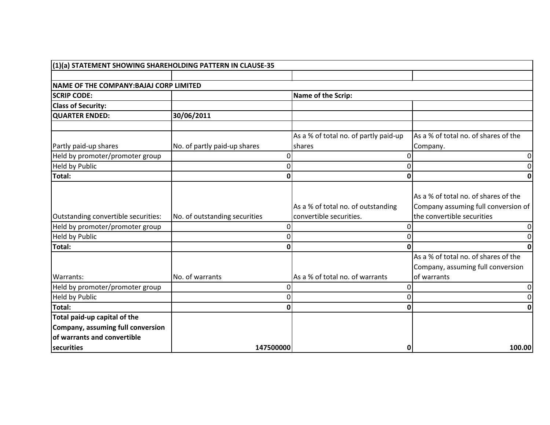| (1)(a) STATEMENT SHOWING SHAREHOLDING PATTERN IN CLAUSE-35                                       |                               |          |                                                               |                                                                                                           |
|--------------------------------------------------------------------------------------------------|-------------------------------|----------|---------------------------------------------------------------|-----------------------------------------------------------------------------------------------------------|
|                                                                                                  |                               |          |                                                               |                                                                                                           |
| NAME OF THE COMPANY: BAJAJ CORP LIMITED                                                          |                               |          |                                                               |                                                                                                           |
| <b>SCRIP CODE:</b>                                                                               |                               |          | Name of the Scrip:                                            |                                                                                                           |
| <b>Class of Security:</b>                                                                        |                               |          |                                                               |                                                                                                           |
| <b>QUARTER ENDED:</b>                                                                            | 30/06/2011                    |          |                                                               |                                                                                                           |
|                                                                                                  |                               |          | As a % of total no. of partly paid-up                         | As a % of total no. of shares of the                                                                      |
| Partly paid-up shares                                                                            | No. of partly paid-up shares  |          | shares                                                        | Company.                                                                                                  |
| Held by promoter/promoter group                                                                  |                               | O        |                                                               | 0                                                                                                         |
| Held by Public                                                                                   |                               | O        |                                                               | 0                                                                                                         |
| Total:                                                                                           |                               | 0        | 0                                                             | 0                                                                                                         |
| Outstanding convertible securities:                                                              | No. of outstanding securities |          | As a % of total no. of outstanding<br>convertible securities. | As a % of total no. of shares of the<br>Company assuming full conversion of<br>the convertible securities |
| Held by promoter/promoter group                                                                  |                               | $\Omega$ | 0                                                             | 0                                                                                                         |
| Held by Public                                                                                   |                               | U        |                                                               | 0                                                                                                         |
| Total:                                                                                           |                               | 0        | O                                                             | 0                                                                                                         |
| Warrants:                                                                                        | No. of warrants               |          | As a % of total no. of warrants                               | As a % of total no. of shares of the<br>Company, assuming full conversion<br>of warrants                  |
| Held by promoter/promoter group                                                                  |                               | O        | 0                                                             | 0                                                                                                         |
| <b>Held by Public</b>                                                                            |                               | 0        | 0                                                             | 0                                                                                                         |
| Total:                                                                                           |                               |          | 0                                                             | 0                                                                                                         |
| Total paid-up capital of the<br>Company, assuming full conversion<br>of warrants and convertible |                               |          |                                                               |                                                                                                           |
| securities                                                                                       | 147500000                     |          | 0                                                             | 100.00                                                                                                    |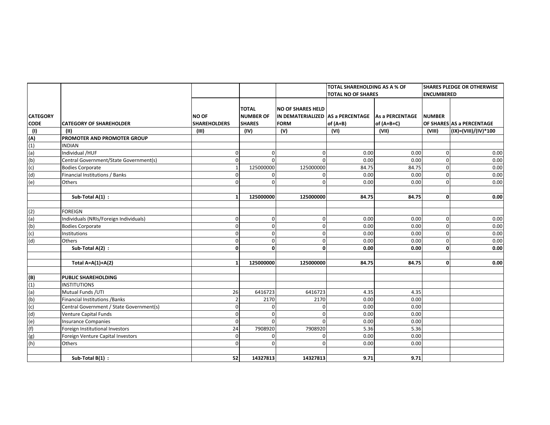|                                                       |                                          |                     |                  |                                   | <b>TOTAL SHAREHOLDING AS A % OF</b> |                        | <b>SHARES PLEDGE OR OTHERWISE</b> |                           |
|-------------------------------------------------------|------------------------------------------|---------------------|------------------|-----------------------------------|-------------------------------------|------------------------|-----------------------------------|---------------------------|
|                                                       |                                          |                     |                  |                                   | <b>TOTAL NO OF SHARES</b>           |                        | <b>ENCUMBERED</b>                 |                           |
|                                                       |                                          |                     |                  |                                   |                                     |                        |                                   |                           |
|                                                       |                                          |                     | <b>TOTAL</b>     | <b>NO OF SHARES HELD</b>          |                                     |                        |                                   |                           |
| <b>CATEGORY</b>                                       |                                          | <b>NO OF</b>        | <b>NUMBER OF</b> | IN DEMATERIALIZED AS a PERCENTAGE |                                     | <b>As a PERCENTAGE</b> | <b>NUMBER</b>                     |                           |
| <b>CODE</b>                                           | <b>CATEGORY OF SHAREHOLDER</b>           | <b>SHAREHOLDERS</b> | <b>SHARES</b>    | <b>FORM</b>                       | of $(A+B)$                          | $of (A+B+C)$           |                                   | OF SHARES AS a PERCENTAGE |
| (1)                                                   | (II)                                     | (III)               | (IV)             | (V)                               | (VI)                                | (VII)                  | (VIII)                            | (IX)=(VIII)/(IV)*100      |
| (A)<br>(1)<br>(a)<br>(b)<br>(c)<br>(d)                | PROMOTER AND PROMOTER GROUP              |                     |                  |                                   |                                     |                        |                                   |                           |
|                                                       | <b>INDIAN</b>                            |                     |                  |                                   |                                     |                        |                                   |                           |
|                                                       | Individual /HUF                          | U                   | 0                | 0                                 | 0.00                                | 0.00                   | $\mathbf{0}$                      | 0.00                      |
|                                                       | Central Government/State Government(s)   |                     | $\Omega$         | $\mathbf 0$                       | 0.00                                | 0.00                   | $\mathbf 0$                       | 0.00                      |
|                                                       | <b>Bodies Corporate</b>                  |                     | 125000000        | 125000000                         | 84.75                               | 84.75                  | $\overline{0}$                    | 0.00                      |
|                                                       | Financial Institutions / Banks           |                     | $\Omega$         | $\mathbf 0$                       | 0.00                                | 0.00                   | $\overline{0}$                    | 0.00                      |
| (e)                                                   | Others                                   |                     | $\Omega$         | $\Omega$                          | 0.00                                | 0.00                   | $\overline{0}$                    | 0.00                      |
|                                                       | Sub-Total A(1) :                         |                     | 125000000        | 125000000                         | 84.75                               | 84.75                  | $\mathbf 0$                       | 0.00                      |
|                                                       |                                          |                     |                  |                                   |                                     |                        |                                   |                           |
| (2)                                                   | <b>FOREIGN</b>                           |                     |                  |                                   |                                     |                        |                                   |                           |
| (a)                                                   | Individuals (NRIs/Foreign Individuals)   | $\Omega$            | $\mathbf 0$      | $\mathbf 0$                       | 0.00                                | 0.00                   | $\mathbf{0}$                      | 0.00                      |
| (b)                                                   | <b>Bodies Corporate</b>                  | U                   | $\mathbf 0$      | $\mathbf 0$                       | 0.00                                | 0.00                   | $\overline{0}$                    | 0.00                      |
| (c)                                                   | Institutions                             | ŋ                   | $\mathbf 0$      | 0                                 | 0.00                                | 0.00                   | $\overline{0}$                    | 0.00                      |
| (d)                                                   | Others                                   | ŋ                   | 0                | 0                                 | 0.00                                | 0.00                   | $\mathbf{0}$                      | 0.00                      |
|                                                       | Sub-Total A(2) :                         | $\Omega$            | 0                | 0                                 | 0.00                                | 0.00                   | $\mathbf{0}$                      | 0.00                      |
|                                                       |                                          |                     |                  |                                   |                                     |                        |                                   |                           |
|                                                       | Total $A=A(1)+A(2)$                      |                     | 125000000        | 125000000                         | 84.75                               | 84.75                  | $\mathbf{0}$                      | 0.00                      |
| (B)                                                   | <b>PUBLIC SHAREHOLDING</b>               |                     |                  |                                   |                                     |                        |                                   |                           |
|                                                       | <b>INSTITUTIONS</b>                      |                     |                  |                                   |                                     |                        |                                   |                           |
|                                                       | Mutual Funds / UTI                       | 26                  | 6416723          | 6416723                           | 4.35                                | 4.35                   |                                   |                           |
| $\frac{(1)}{(a)}$                                     | <b>Financial Institutions / Banks</b>    |                     | 2170             | 2170                              | 0.00                                | 0.00                   |                                   |                           |
| (c)                                                   | Central Government / State Government(s) |                     | $\Omega$         | $\Omega$                          | 0.00                                | 0.00                   |                                   |                           |
|                                                       | Venture Capital Funds                    |                     | $\Omega$         | $\mathbf 0$                       | 0.00                                | 0.00                   |                                   |                           |
|                                                       | <b>Insurance Companies</b>               | n                   | $\Omega$         | $\Omega$                          | 0.00                                | 0.00                   |                                   |                           |
|                                                       | Foreign Institutional Investors          | 24                  | 7908920          | 7908920                           | 5.36                                | 5.36                   |                                   |                           |
| $\frac{(d)}{(e)}$ $\frac{(e)}{(f)}$ $\frac{(g)}{(h)}$ | Foreign Venture Capital Investors        | $\Omega$            | 0                | 0                                 | 0.00                                | 0.00                   |                                   |                           |
|                                                       | Others                                   |                     |                  | $\Omega$                          | 0.00                                | 0.00                   |                                   |                           |
|                                                       |                                          |                     |                  |                                   |                                     |                        |                                   |                           |
|                                                       | Sub-Total B(1) :                         | 52                  | 14327813         | 14327813                          | 9.71                                | 9.71                   |                                   |                           |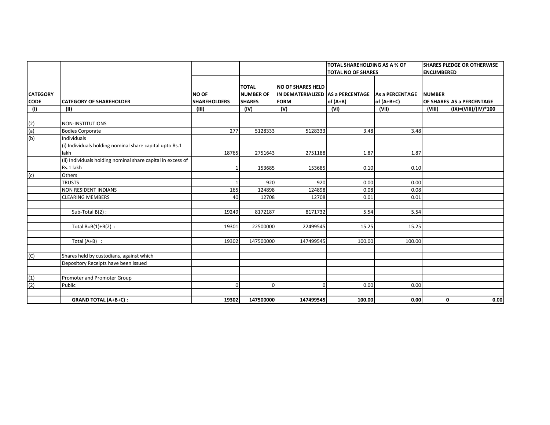|                                |                                                                          |                                     |                                                   |                                                                              | TOTAL SHAREHOLDING AS A % OF |                               |                   | <b>SHARES PLEDGE OR OTHERWISE</b> |
|--------------------------------|--------------------------------------------------------------------------|-------------------------------------|---------------------------------------------------|------------------------------------------------------------------------------|------------------------------|-------------------------------|-------------------|-----------------------------------|
|                                |                                                                          |                                     |                                                   |                                                                              | <b>TOTAL NO OF SHARES</b>    |                               | <b>ENCUMBERED</b> |                                   |
| <b>CATEGORY</b><br><b>CODE</b> | <b>CATEGORY OF SHAREHOLDER</b>                                           | <b>NO OF</b><br><b>SHAREHOLDERS</b> | <b>TOTAL</b><br><b>NUMBER OF</b><br><b>SHARES</b> | <b>NO OF SHARES HELD</b><br>IN DEMATERIALIZED AS a PERCENTAGE<br><b>FORM</b> | of $(A+B)$                   | As a PERCENTAGE<br>of (A+B+C) | <b>NUMBER</b>     | OF SHARES AS a PERCENTAGE         |
| (1)                            | (II)                                                                     | (III)                               | (IV)                                              | (V)                                                                          | (VI)                         | (VII)                         | (VIII)            | (IX)=(VIII)/(IV)*100              |
| (2)                            | NON-INSTITUTIONS                                                         |                                     |                                                   |                                                                              |                              |                               |                   |                                   |
| (a)                            | <b>Bodies Corporate</b>                                                  | 277                                 | 5128333                                           | 5128333                                                                      | 3.48                         | 3.48                          |                   |                                   |
| (b)                            | Individuals                                                              |                                     |                                                   |                                                                              |                              |                               |                   |                                   |
|                                | (i) Individuals holding nominal share capital upto Rs.1<br>lakh          | 18765                               | 2751643                                           | 2751188                                                                      | 1.87                         | 1.87                          |                   |                                   |
|                                | (ii) Individuals holding nominal share capital in excess of<br>Rs.1 lakh |                                     | 153685                                            | 153685                                                                       | 0.10                         | 0.10                          |                   |                                   |
| (c)                            | Others                                                                   |                                     |                                                   |                                                                              |                              |                               |                   |                                   |
|                                | <b>TRUSTS</b>                                                            |                                     | 920                                               | 920                                                                          | 0.00                         | 0.00                          |                   |                                   |
|                                | <b>NON RESIDENT INDIANS</b>                                              | 165                                 | 124898                                            | 124898                                                                       | 0.08                         | 0.08                          |                   |                                   |
|                                | <b>CLEARING MEMBERS</b>                                                  | 40                                  | 12708                                             | 12708                                                                        | 0.01                         | 0.01                          |                   |                                   |
|                                | Sub-Total B(2):                                                          | 19249                               | 8172187                                           | 8171732                                                                      | 5.54                         | 5.54                          |                   |                                   |
|                                | Total $B=B(1)+B(2)$ :                                                    | 19301                               | 22500000                                          | 22499545                                                                     | 15.25                        | 15.25                         |                   |                                   |
|                                | Total $(A+B)$ :                                                          | 19302                               | 147500000                                         | 147499545                                                                    | 100.00                       | 100.00                        |                   |                                   |
| (C)                            | Shares held by custodians, against which                                 |                                     |                                                   |                                                                              |                              |                               |                   |                                   |
|                                | Depository Receipts have been issued                                     |                                     |                                                   |                                                                              |                              |                               |                   |                                   |
| (1)                            | Promoter and Promoter Group                                              |                                     |                                                   |                                                                              |                              |                               |                   |                                   |
| (2)                            | Public                                                                   |                                     | $\Omega$                                          |                                                                              | 0.00                         | 0.00                          |                   |                                   |
|                                | <b>GRAND TOTAL (A+B+C):</b>                                              | 19302                               | 147500000                                         | 147499545                                                                    | 100.00                       | 0.00                          | $\mathbf{0}$      | 0.00                              |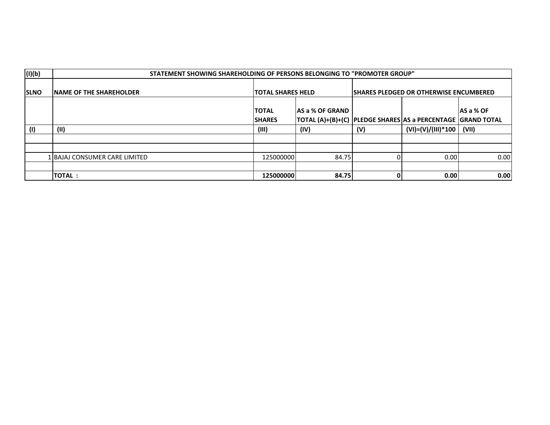| (I)(b)      | STATEMENT SHOWING SHAREHOLDING OF PERSONS BELONGING TO "PROMOTER GROUP" |                                |                                                                                    |                                                |                      |            |  |  |
|-------------|-------------------------------------------------------------------------|--------------------------------|------------------------------------------------------------------------------------|------------------------------------------------|----------------------|------------|--|--|
| <b>SLNO</b> | <b>INAME OF THE SHAREHOLDER</b>                                         | <b>TOTAL SHARES HELD</b>       |                                                                                    | <b>ISHARES PLEDGED OR OTHERWISE ENCUMBERED</b> |                      |            |  |  |
|             |                                                                         | <b>ITOTAL</b><br><b>SHARES</b> | lAS a % OF GRAND<br> TOTAL (A)+(B)+(C)  PLEDGE SHARES AS a PERCENTAGE  GRAND TOTAL |                                                |                      | IAS a % OF |  |  |
| (1)         | (II)                                                                    | (III)                          | (IV)                                                                               | (V)                                            | $(VI)=(V)/(III)*100$ | (VII)      |  |  |
|             |                                                                         |                                |                                                                                    |                                                |                      |            |  |  |
|             |                                                                         |                                |                                                                                    |                                                |                      |            |  |  |
|             | 1 IBAJAJ CONSUMER CARE LIMITED                                          | 125000000                      | 84.75                                                                              |                                                | 0.00                 | 0.00       |  |  |
|             |                                                                         |                                |                                                                                    |                                                |                      |            |  |  |
|             | <b>TOTAL:</b>                                                           | 125000000                      | 84.75                                                                              |                                                | 0.00                 | 0.00       |  |  |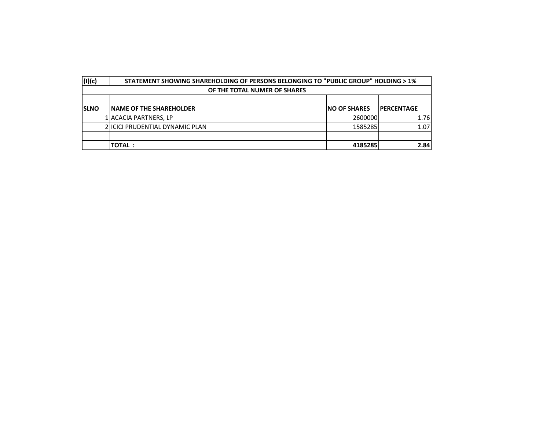| (1)(c)      |                              | STATEMENT SHOWING SHAREHOLDING OF PERSONS BELONGING TO "PUBLIC GROUP" HOLDING > 1% |                      |                   |  |  |  |  |  |
|-------------|------------------------------|------------------------------------------------------------------------------------|----------------------|-------------------|--|--|--|--|--|
|             | OF THE TOTAL NUMER OF SHARES |                                                                                    |                      |                   |  |  |  |  |  |
|             |                              |                                                                                    |                      |                   |  |  |  |  |  |
| <b>SLNO</b> |                              | <b>INAME OF THE SHAREHOLDER</b>                                                    | <b>INO OF SHARES</b> | <b>PERCENTAGE</b> |  |  |  |  |  |
|             |                              | 1 ACACIA PARTNERS, LP                                                              | 2600000              | 1.76              |  |  |  |  |  |
|             |                              | 2 IICICI PRUDENTIAL DYNAMIC PLAN                                                   | 1585285              | 1.07              |  |  |  |  |  |
|             |                              |                                                                                    |                      |                   |  |  |  |  |  |
|             |                              | <b>ITOTAL :</b>                                                                    | 4185285              | 2.84              |  |  |  |  |  |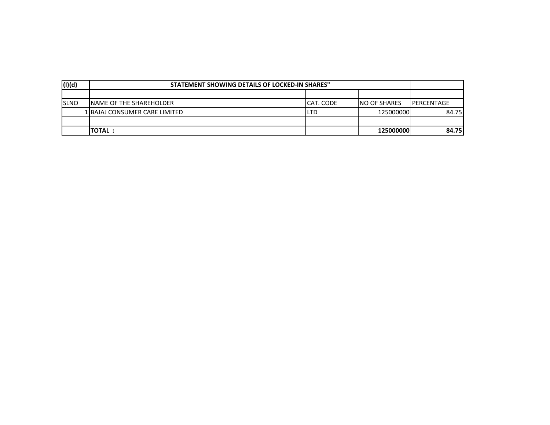| (I)(d)      | STATEMENT SHOWING DETAILS OF LOCKED-IN SHARES" |           |               |                    |  |  |
|-------------|------------------------------------------------|-----------|---------------|--------------------|--|--|
|             |                                                |           |               |                    |  |  |
| <b>SLNO</b> | <b>INAME OF THE SHAREHOLDER</b>                | CAT. CODE | INO OF SHARES | <b>IPERCENTAGE</b> |  |  |
|             | 1 BAJAJ CONSUMER CARE LIMITED                  | LTD       | 125000000     | 84.75              |  |  |
|             |                                                |           |               |                    |  |  |
|             | <b>ITOTAL:</b>                                 |           | 125000000     | 84.751             |  |  |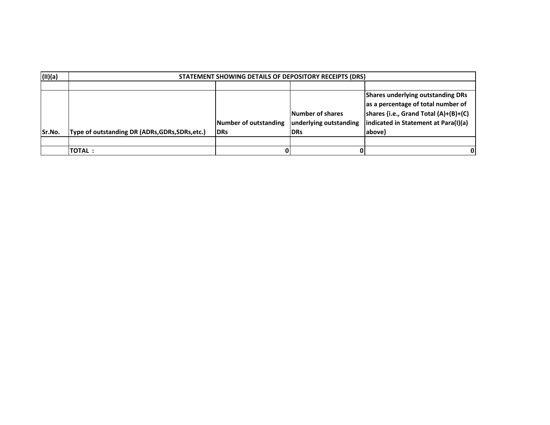| (II)(a) |                                                 | STATEMENT SHOWING DETAILS OF DEPOSITORY RECEIPTS (DRS) |                        |                                          |  |  |  |  |  |  |  |
|---------|-------------------------------------------------|--------------------------------------------------------|------------------------|------------------------------------------|--|--|--|--|--|--|--|
|         |                                                 |                                                        |                        |                                          |  |  |  |  |  |  |  |
|         |                                                 |                                                        |                        | <b>Shares underlying outstanding DRs</b> |  |  |  |  |  |  |  |
|         |                                                 |                                                        |                        | as a percentage of total number of       |  |  |  |  |  |  |  |
|         |                                                 |                                                        | Number of shares       | shares {i.e., Grand Total (A)+(B)+(C)    |  |  |  |  |  |  |  |
|         |                                                 | Number of outstanding                                  | underlying outstanding | indicated in Statement at Para(I)(a)     |  |  |  |  |  |  |  |
| Sr.No.  | Type of outstanding DR (ADRs, GDRs, SDRs, etc.) | <b>DRs</b>                                             | <b>IDRs</b>            | above}                                   |  |  |  |  |  |  |  |
|         |                                                 |                                                        |                        |                                          |  |  |  |  |  |  |  |
|         | <b>TOTAL:</b>                                   |                                                        |                        | 0                                        |  |  |  |  |  |  |  |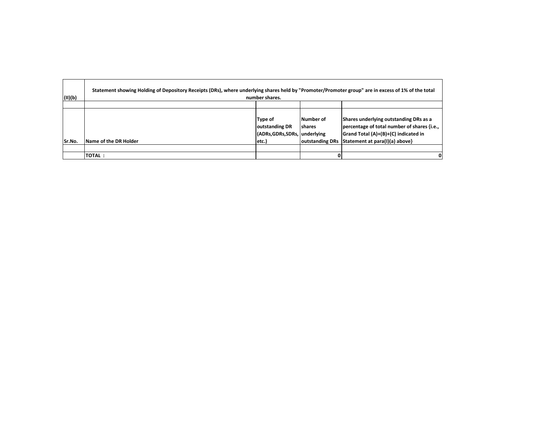| (II)(b) | Statement showing Holding of Depository Receipts (DRs), where underlying shares held by "Promoter/Promoter group" are in excess of 1% of the total | number shares.                                                       |                      |                                                                                                                                                                                |
|---------|----------------------------------------------------------------------------------------------------------------------------------------------------|----------------------------------------------------------------------|----------------------|--------------------------------------------------------------------------------------------------------------------------------------------------------------------------------|
|         |                                                                                                                                                    |                                                                      |                      |                                                                                                                                                                                |
| Sr.No.  | Name of the DR Holder                                                                                                                              | Type of<br>outstanding DR<br>(ADRs, GDRs, SDRs, underlying<br>letc.) | Number of<br>Ishares | Shares underlying outstanding DRs as a<br>percentage of total number of shares {i.e.,<br>Grand Total (A)+(B)+(C) indicated in<br>outstanding DRs Statement at para(I)(a) above |
|         |                                                                                                                                                    |                                                                      |                      |                                                                                                                                                                                |
|         | <b>TOTAL:</b>                                                                                                                                      |                                                                      |                      |                                                                                                                                                                                |

 $\overline{\phantom{0}}$ 

 $\blacksquare$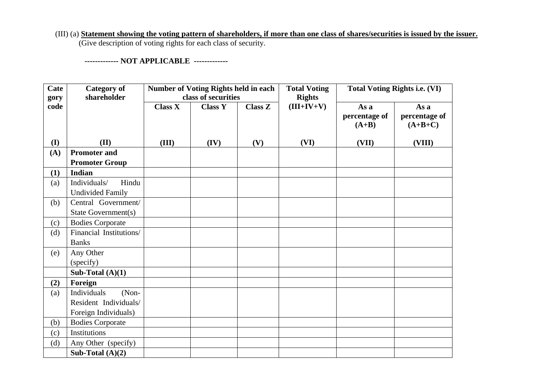## (III) (a) **Statement showing the voting pattern of shareholders, if more than one class of shares/securities is issued by the issuer.** (Give description of voting rights for each class of security.

 **------------- NOT APPLICABLE -------------**

| Cate         | <b>Category of</b><br>shareholder |                | <b>Number of Voting Rights held in each</b><br>class of securities |                | <b>Total Voting</b><br><b>Rights</b> |                                  | <b>Total Voting Rights i.e. (VI)</b> |
|--------------|-----------------------------------|----------------|--------------------------------------------------------------------|----------------|--------------------------------------|----------------------------------|--------------------------------------|
| gory<br>code |                                   | <b>Class X</b> | <b>Class Y</b>                                                     | <b>Class Z</b> | $(III+IV+V)$                         | As a<br>percentage of<br>$(A+B)$ | As a<br>percentage of<br>$(A+B+C)$   |
| (I)          | (II)                              | (III)          | (IV)                                                               | (V)            | (VI)                                 | (VII)                            | (VIII)                               |
| (A)          | <b>Promoter and</b>               |                |                                                                    |                |                                      |                                  |                                      |
|              | <b>Promoter Group</b>             |                |                                                                    |                |                                      |                                  |                                      |
| (1)          | <b>Indian</b>                     |                |                                                                    |                |                                      |                                  |                                      |
| (a)          | Hindu<br>Individuals/             |                |                                                                    |                |                                      |                                  |                                      |
|              | <b>Undivided Family</b>           |                |                                                                    |                |                                      |                                  |                                      |
| (b)          | Central Government/               |                |                                                                    |                |                                      |                                  |                                      |
|              | State Government(s)               |                |                                                                    |                |                                      |                                  |                                      |
| (c)          | <b>Bodies Corporate</b>           |                |                                                                    |                |                                      |                                  |                                      |
| (d)          | Financial Institutions/           |                |                                                                    |                |                                      |                                  |                                      |
|              | <b>Banks</b>                      |                |                                                                    |                |                                      |                                  |                                      |
| (e)          | Any Other                         |                |                                                                    |                |                                      |                                  |                                      |
|              | (specify)                         |                |                                                                    |                |                                      |                                  |                                      |
|              | Sub-Total $(A)(1)$                |                |                                                                    |                |                                      |                                  |                                      |
| (2)          | Foreign                           |                |                                                                    |                |                                      |                                  |                                      |
| (a)          | Individuals<br>(Non-              |                |                                                                    |                |                                      |                                  |                                      |
|              | Resident Individuals/             |                |                                                                    |                |                                      |                                  |                                      |
|              | Foreign Individuals)              |                |                                                                    |                |                                      |                                  |                                      |
| (b)          | <b>Bodies Corporate</b>           |                |                                                                    |                |                                      |                                  |                                      |
| (c)          | Institutions                      |                |                                                                    |                |                                      |                                  |                                      |
| (d)          | Any Other (specify)               |                |                                                                    |                |                                      |                                  |                                      |
|              | Sub-Total $(A)(2)$                |                |                                                                    |                |                                      |                                  |                                      |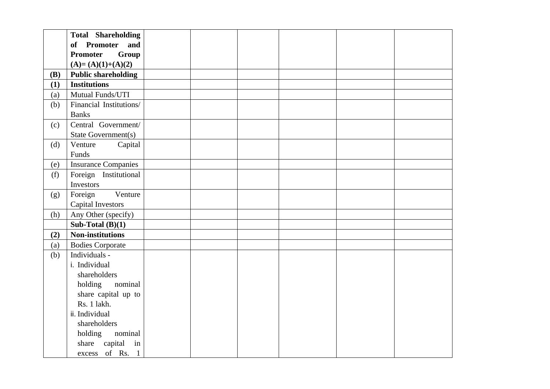|            | <b>Total Shareholding</b>  |  |  |  |
|------------|----------------------------|--|--|--|
|            | of Promoter<br>and         |  |  |  |
|            | <b>Promoter</b><br>Group   |  |  |  |
|            | $(A)=(A)(1)+(A)(2)$        |  |  |  |
| <b>(B)</b> | <b>Public shareholding</b> |  |  |  |
| (1)        | <b>Institutions</b>        |  |  |  |
| (a)        | Mutual Funds/UTI           |  |  |  |
| (b)        | Financial Institutions/    |  |  |  |
|            | <b>Banks</b>               |  |  |  |
| (c)        | Central Government/        |  |  |  |
|            | State Government(s)        |  |  |  |
| (d)        | Venture<br>Capital         |  |  |  |
|            | Funds                      |  |  |  |
| (e)        | <b>Insurance Companies</b> |  |  |  |
| (f)        | Foreign Institutional      |  |  |  |
|            | Investors                  |  |  |  |
| (g)        | Foreign<br>Venture         |  |  |  |
|            | <b>Capital Investors</b>   |  |  |  |
| (h)        | Any Other (specify)        |  |  |  |
|            | Sub-Total $(B)(1)$         |  |  |  |
| (2)        | <b>Non-institutions</b>    |  |  |  |
| (a)        | <b>Bodies Corporate</b>    |  |  |  |
| (b)        | Individuals -              |  |  |  |
|            | i. Individual              |  |  |  |
|            | shareholders               |  |  |  |
|            | holding<br>nominal         |  |  |  |
|            | share capital up to        |  |  |  |
|            | Rs. 1 lakh.                |  |  |  |
|            | ii. Individual             |  |  |  |
|            | shareholders               |  |  |  |
|            | holding<br>nominal         |  |  |  |
|            | share capital in           |  |  |  |
|            | excess of Rs. 1            |  |  |  |